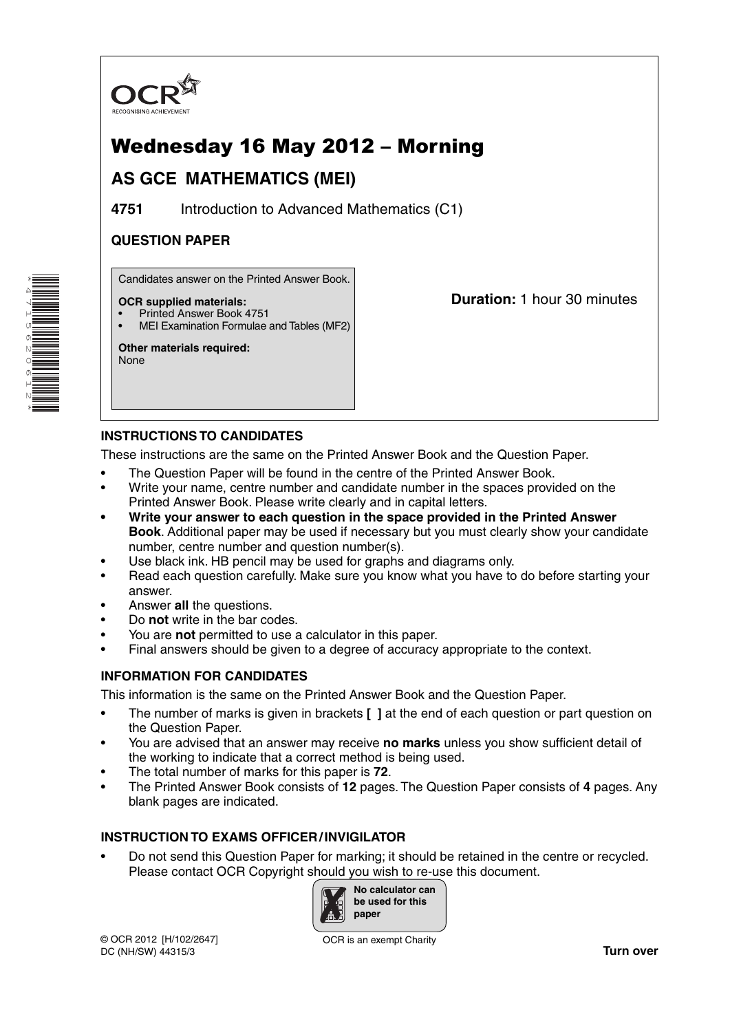

# Wednesday 16 May 2012 – Morning

## **AS GCE MATHEMATICS (MEI)**

**4751** Introduction to Advanced Mathematics (C1)

## **QUESTION PAPER**

Candidates answer on the Printed Answer Book.

#### **OCR supplied materials:**

- Printed Answer Book 4751
- MEI Examination Formulae and Tables (MF2)

**Other materials required:** None

**Duration:** 1 hour 30 minutes

## **INSTRUCTIONS TO CANDIDATES**

These instructions are the same on the Printed Answer Book and the Question Paper.

- The Question Paper will be found in the centre of the Printed Answer Book.
- Write your name, centre number and candidate number in the spaces provided on the Printed Answer Book. Please write clearly and in capital letters.
- **Write your answer to each question in the space provided in the Printed Answer Book**. Additional paper may be used if necessary but you must clearly show your candidate number, centre number and question number(s).
- Use black ink. HB pencil may be used for graphs and diagrams only.
- Read each question carefully. Make sure you know what you have to do before starting your answer.
- Answer **all** the questions.
- Do **not** write in the bar codes.
- You are **not** permitted to use a calculator in this paper.
- Final answers should be given to a degree of accuracy appropriate to the context.

## **INFORMATION FOR CANDIDATES**

This information is the same on the Printed Answer Book and the Question Paper.

- The number of marks is given in brackets **[ ]** at the end of each question or part question on the Question Paper.
- You are advised that an answer may receive **no marks** unless you show sufficient detail of the working to indicate that a correct method is being used.
- The total number of marks for this paper is **72**.
- The Printed Answer Book consists of **12** pages. The Question Paper consists of **4** pages. Any blank pages are indicated.

## **INSTRUCTION TO EXAMS OFFICER / INVIGILATOR**

• Do not send this Question Paper for marking; it should be retained in the centre or recycled. Please contact OCR Copyright should you wish to re-use this document.



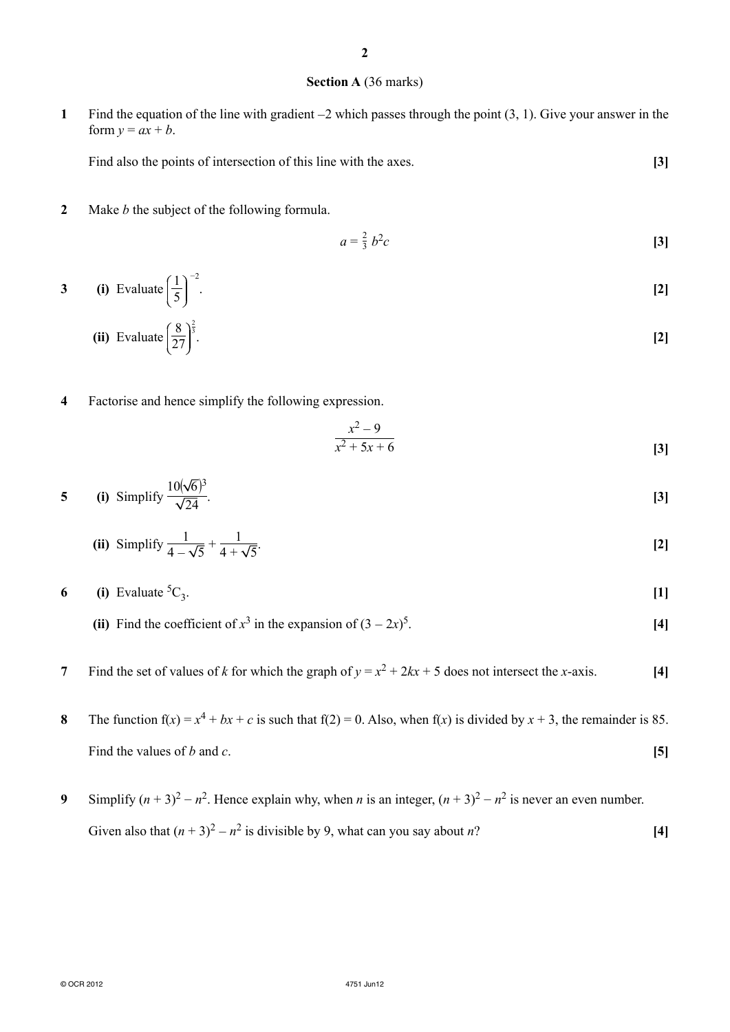#### **Section A** (36 marks)

**1** Find the equation of the line with gradient −2 which passes through the point (3, 1). Give your answer in the form  $y = ax + b$ .

Find also the points of intersection of this line with the axes. **[3]** 

**2** Make *b* the subject of the following formula.

$$
a = \frac{2}{3} b^2 c \tag{3}
$$

**3** (i) Evaluate  $\left(\frac{1}{5}\right)$ −2 . **[2]**

(ii) Evaluate 
$$
\left(\frac{8}{27}\right)^{\frac{2}{3}}
$$
. [2]

**4** Factorise and hence simplify the following expression.

$$
\frac{x^2 - 9}{x^2 + 5x + 6}
$$
 [3]

5 (i) Simplify 
$$
\frac{10(\sqrt{6})^3}{\sqrt{24}}
$$
.

(ii) Simplify 
$$
\frac{1}{4 - \sqrt{5}} + \frac{1}{4 + \sqrt{5}}
$$
. [2]

- **6** (i) Evaluate  ${}^5C_3$ . [1]
	- **(ii)** Find the coefficient of  $x^3$  in the expansion of  $(3 2x)^5$ .  $\frac{5}{14}$
- **7** Find the set of values of *k* for which the graph of  $y = x^2 + 2kx + 5$  does not intersect the *x*-axis. [4]
- **8** The function  $f(x) = x^4 + bx + c$  is such that  $f(2) = 0$ . Also, when  $f(x)$  is divided by  $x + 3$ , the remainder is 85. Find the values of *b* and *c*. **[5]**
- **9** Simplify  $(n + 3)^2 n^2$ . Hence explain why, when *n* is an integer,  $(n + 3)^2 n^2$  is never an even number. Given also that  $(n + 3)^2 - n^2$  is divisible by 9, what can you say about *n*? [4]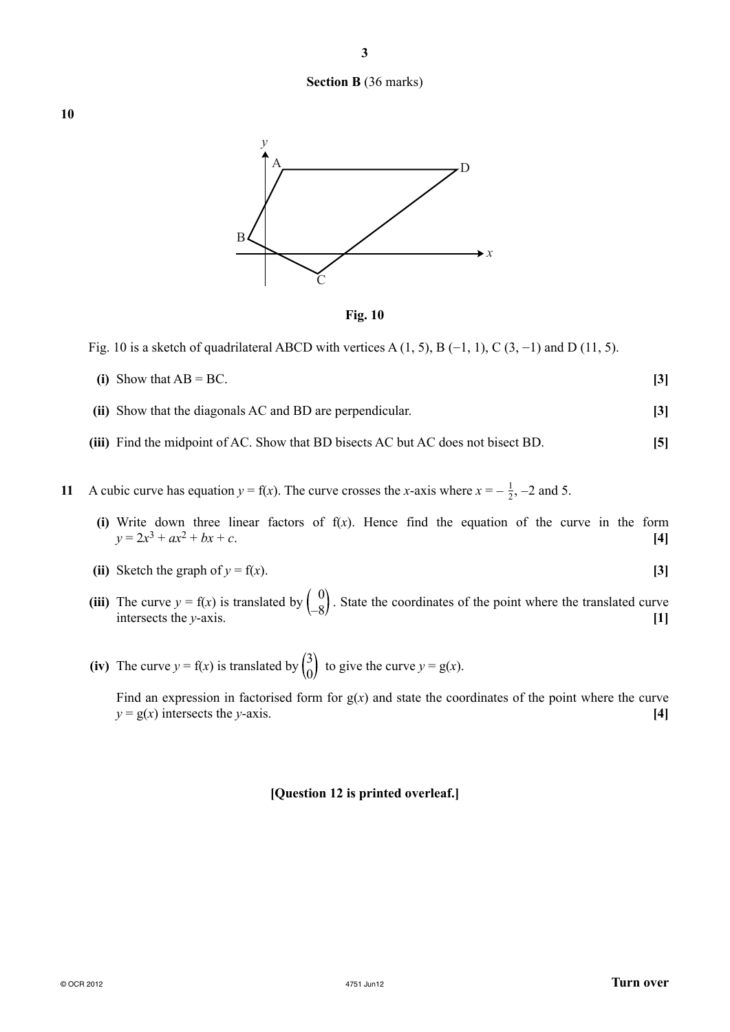

**3**





Fig. 10 is a sketch of quadrilateral ABCD with vertices A  $(1, 5)$ , B  $(-1, 1)$ , C  $(3, -1)$  and D  $(11, 5)$ .

- **(i)** Show that  $AB = BC$ . **[3]**
- **(ii)** Show that the diagonals AC and BD are perpendicular. **[3]**
- **(iii)** Find the midpoint of AC. Show that BD bisects AC but AC does not bisect BD. **[5]**
- **11** A cubic curve has equation  $y = f(x)$ . The curve crosses the *x*-axis where  $x = -\frac{1}{2}$ , -2 and 5.
	- **(i)** Write down three linear factors of f(*x*). Hence find the equation of the curve in the form  $y = 2x^3 + ax^2 + bx + c$ . **[4]**
	- (ii) Sketch the graph of  $y = f(x)$ . [3]
- (iii) The curve  $y = f(x)$  is translated by  $\begin{pmatrix} 0 \\ -8 \end{pmatrix}$ . State the coordinates of the point where the translated curve intersects the *y*-axis. [1]
- (iv) The curve  $y = f(x)$  is translated by  $\begin{pmatrix} 3 \\ 0 \end{pmatrix}$  to give the curve  $y = g(x)$ .

Find an expression in factorised form for  $g(x)$  and state the coordinates of the point where the curve  $y = g(x)$  intersects the *y*-axis. **[4]** 

#### **[Question 12 is printed overleaf.]**

**10**